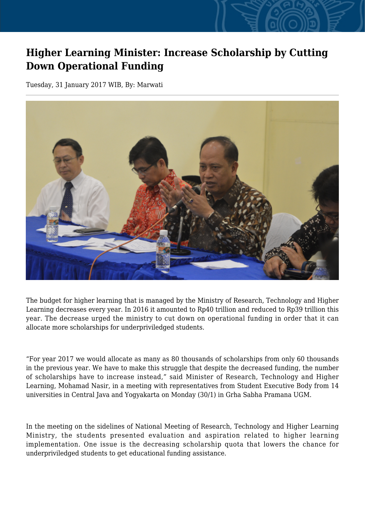## **Higher Learning Minister: Increase Scholarship by Cutting Down Operational Funding**

Tuesday, 31 January 2017 WIB, By: Marwati



The budget for higher learning that is managed by the Ministry of Research, Technology and Higher Learning decreases every year. In 2016 it amounted to Rp40 trillion and reduced to Rp39 trillion this year. The decrease urged the ministry to cut down on operational funding in order that it can allocate more scholarships for underpriviledged students.

"For year 2017 we would allocate as many as 80 thousands of scholarships from only 60 thousands in the previous year. We have to make this struggle that despite the decreased funding, the number of scholarships have to increase instead," said Minister of Research, Technology and Higher Learning, Mohamad Nasir, in a meeting with representatives from Student Executive Body from 14 universities in Central Java and Yogyakarta on Monday (30/1) in Grha Sabha Pramana UGM.

In the meeting on the sidelines of National Meeting of Research, Technology and Higher Learning Ministry, the students presented evaluation and aspiration related to higher learning implementation. One issue is the decreasing scholarship quota that lowers the chance for underpriviledged students to get educational funding assistance.